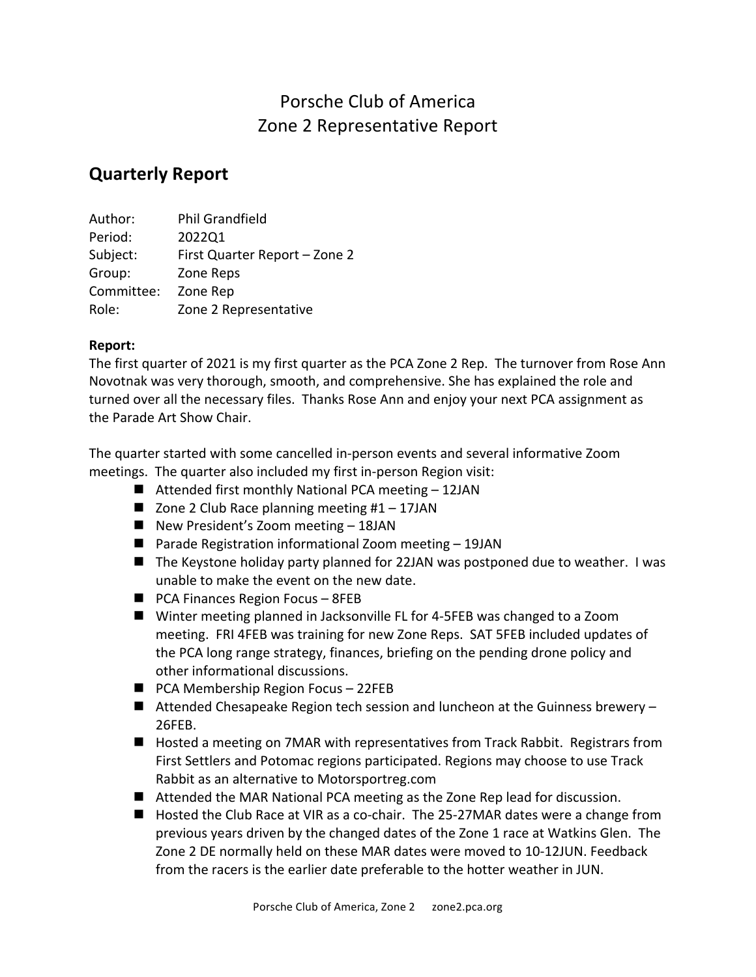## Porsche Club of America Zone 2 Representative Report

## **Quarterly Report**

| Author:    | <b>Phil Grandfield</b>        |
|------------|-------------------------------|
| Period:    | 2022Q1                        |
| Subject:   | First Quarter Report - Zone 2 |
| Group:     | Zone Reps                     |
| Committee: | Zone Rep                      |
| Role:      | Zone 2 Representative         |

## **Report:**

The first quarter of 2021 is my first quarter as the PCA Zone 2 Rep. The turnover from Rose Ann Novotnak was very thorough, smooth, and comprehensive. She has explained the role and turned over all the necessary files. Thanks Rose Ann and enjoy your next PCA assignment as the Parade Art Show Chair.

The quarter started with some cancelled in-person events and several informative Zoom meetings. The quarter also included my first in-person Region visit:

- **E** Attended first monthly National PCA meeting  $-12$ JAN
- $\blacksquare$  Zone 2 Club Race planning meeting #1 17JAN
- $\blacksquare$  New President's Zoom meeting  $-$  18JAN
- **Parade Registration informational Zoom meeting 19JAN**
- $\blacksquare$  The Keystone holiday party planned for 22JAN was postponed due to weather. I was unable to make the event on the new date.
- $\blacksquare$  PCA Finances Region Focus 8FEB
- Winter meeting planned in Jacksonville FL for 4-5FEB was changed to a Zoom meeting. FRI 4FEB was training for new Zone Reps. SAT 5FEB included updates of the PCA long range strategy, finances, briefing on the pending drone policy and other informational discussions.
- $\blacksquare$  PCA Membership Region Focus 22FEB
- $\blacksquare$  Attended Chesapeake Region tech session and luncheon at the Guinness brewery -26FEB.
- Hosted a meeting on 7MAR with representatives from Track Rabbit. Registrars from First Settlers and Potomac regions participated. Regions may choose to use Track Rabbit as an alternative to Motorsportreg.com
- $\blacksquare$  Attended the MAR National PCA meeting as the Zone Rep lead for discussion.
- $\blacksquare$  Hosted the Club Race at VIR as a co-chair. The 25-27MAR dates were a change from previous years driven by the changed dates of the Zone 1 race at Watkins Glen. The Zone 2 DE normally held on these MAR dates were moved to 10-12JUN. Feedback from the racers is the earlier date preferable to the hotter weather in JUN.